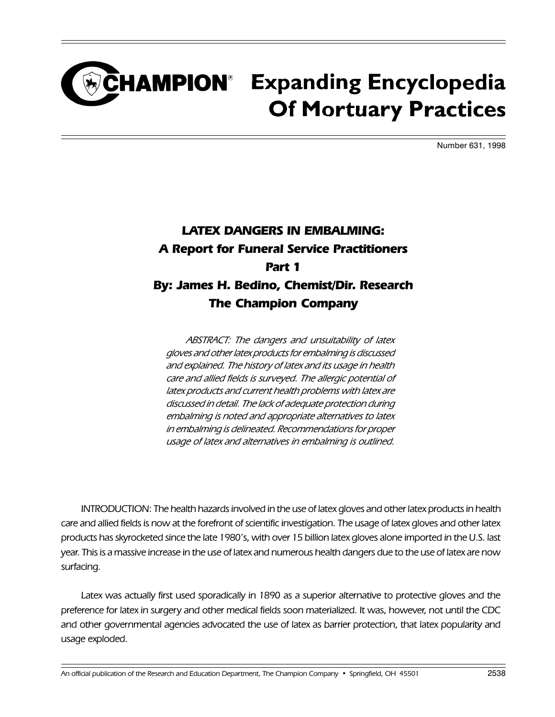## **CHAMPION**® Expanding Encyclopedia **Of Mortuary Practices**

Number 631, 1998

## LATEX DANGERS IN EMBALMING: A Report for Funeral Service Practitioners Part 1 By: James H. Bedino, Chemist/Dir. Research The Champion Company

ABSTRACT: The dangers and unsuitability of latex gloves and other latex products for embalming is discussed and explained. The history of latex and its usage in health care and allied fields is surveyed. The allergic potential of latex products and current health problems with latex are discussed in detail. The lack of adequate protection during embalming is noted and appropriate alternatives to latex in embalming is delineated. Recommendations for proper usage of latex and alternatives in embalming is outlined.

INTRODUCTION: The health hazards involved in the use of latex gloves and other latex products in health care and allied fields is now at the forefront of scientific investigation. The usage of latex gloves and other latex products has skyrocketed since the late 1980's, with over 15 billion latex gloves alone imported in the U.S. last year. This is a massive increase in the use of latex and numerous health dangers due to the use of latex are now surfacing.

Latex was actually first used sporadically in 1890 as a superior alternative to protective gloves and the preference for latex in surgery and other medical fields soon materialized. It was, however, not until the CDC and other governmental agencies advocated the use of latex as barrier protection, that latex popularity and usage exploded.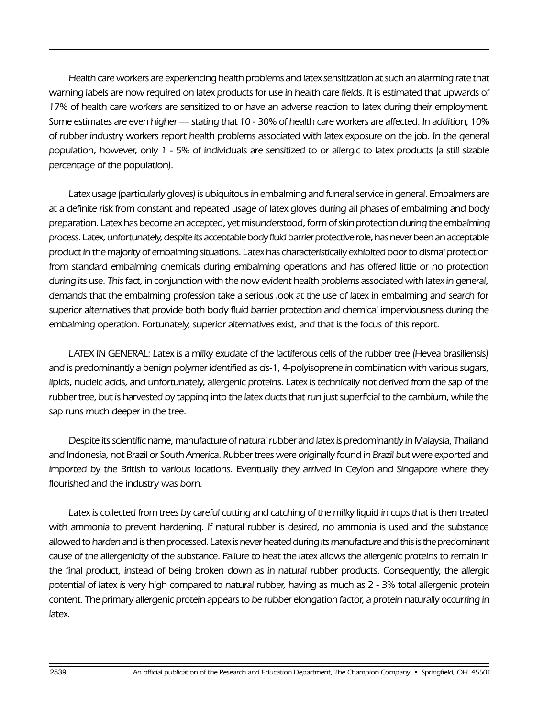Health care workers are experiencing health problems and latex sensitization at such an alarming rate that warning labels are now required on latex products for use in health care fields. It is estimated that upwards of 17% of health care workers are sensitized to or have an adverse reaction to latex during their employment. Some estimates are even higher — stating that 10 - 30% of health care workers are affected. In addition, 10% of rubber industry workers report health problems associated with latex exposure on the job. In the general population, however, only 1 - 5% of individuals are sensitized to or allergic to latex products (a still sizable percentage of the population).

Latex usage (particularly gloves) is ubiquitous in embalming and funeral service in general. Embalmers are at a definite risk from constant and repeated usage of latex gloves during all phases of embalming and body preparation. Latex has become an accepted, yet misunderstood, form of skin protection during the embalming process. Latex, unfortunately, despite its acceptable body fluid barrier protective role, has never been an acceptable product in the majority of embalming situations. Latex has characteristically exhibited poor to dismal protection from standard embalming chemicals during embalming operations and has offered little or no protection during its use. This fact, in conjunction with the now evident health problems associated with latex in general, demands that the embalming profession take a serious look at the use of latex in embalming and search for superior alternatives that provide both body fluid barrier protection and chemical imperviousness during the embalming operation. Fortunately, superior alternatives exist, and that is the focus of this report.

LATEX IN GENERAL: Latex is a milky exudate of the lactiferous cells of the rubber tree (Hevea brasiliensis) and is predominantly a benign polymer identified as cis-1, 4-polyisoprene in combination with various sugars, lipids, nucleic acids, and unfortunately, allergenic proteins. Latex is technically not derived from the sap of the rubber tree, but is harvested by tapping into the latex ducts that run just superficial to the cambium, while the sap runs much deeper in the tree.

Despite its scientific name, manufacture of natural rubber and latex is predominantly in Malaysia, Thailand and Indonesia, not Brazil or South America. Rubber trees were originally found in Brazil but were exported and imported by the British to various locations. Eventually they arrived in Ceylon and Singapore where they flourished and the industry was born.

Latex is collected from trees by careful cutting and catching of the milky liquid in cups that is then treated with ammonia to prevent hardening. If natural rubber is desired, no ammonia is used and the substance allowed to harden and is then processed. Latex is never heated during its manufacture and this is the predominant cause of the allergenicity of the substance. Failure to heat the latex allows the allergenic proteins to remain in the final product, instead of being broken down as in natural rubber products. Consequently, the allergic potential of latex is very high compared to natural rubber, having as much as 2 - 3% total allergenic protein content. The primary allergenic protein appears to be rubber elongation factor, a protein naturally occurring in latex.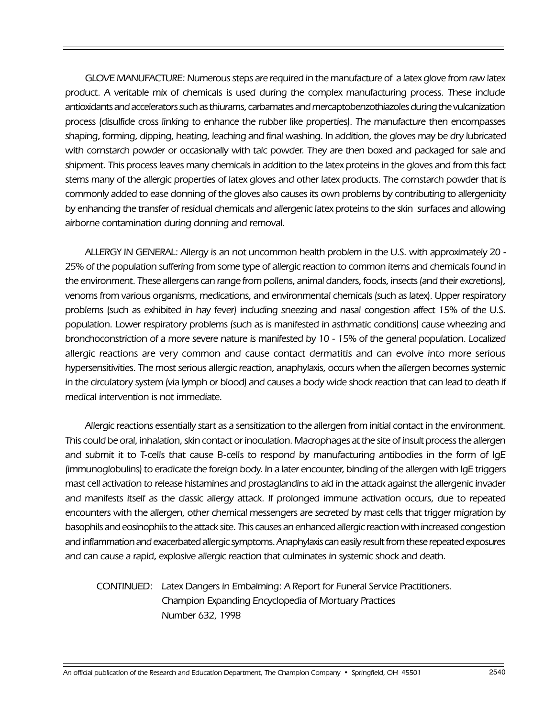GLOVE MANUFACTURE: Numerous steps are required in the manufacture of a latex glove from raw latex product. A veritable mix of chemicals is used during the complex manufacturing process. These include antioxidants and accelerators such as thiurams, carbamates and mercaptobenzothiazoles during the vulcanization process (disulfide cross linking to enhance the rubber like properties). The manufacture then encompasses shaping, forming, dipping, heating, leaching and final washing. In addition, the gloves may be dry lubricated with cornstarch powder or occasionally with talc powder. They are then boxed and packaged for sale and shipment. This process leaves many chemicals in addition to the latex proteins in the gloves and from this fact stems many of the allergic properties of latex gloves and other latex products. The cornstarch powder that is commonly added to ease donning of the gloves also causes its own problems by contributing to allergenicity by enhancing the transfer of residual chemicals and allergenic latex proteins to the skin surfaces and allowing airborne contamination during donning and removal.

ALLERGY IN GENERAL: Allergy is an not uncommon health problem in the U.S. with approximately 20 - 25% of the population suffering from some type of allergic reaction to common items and chemicals found in the environment. These allergens can range from pollens, animal danders, foods, insects (and their excretions), venoms from various organisms, medications, and environmental chemicals (such as latex). Upper respiratory problems (such as exhibited in hay fever) including sneezing and nasal congestion affect 15% of the U.S. population. Lower respiratory problems (such as is manifested in asthmatic conditions) cause wheezing and bronchoconstriction of a more severe nature is manifested by 10 - 15% of the general population. Localized allergic reactions are very common and cause contact dermatitis and can evolve into more serious hypersensitivities. The most serious allergic reaction, anaphylaxis, occurs when the allergen becomes systemic in the circulatory system (via lymph or blood) and causes a body wide shock reaction that can lead to death if medical intervention is not immediate.

Allergic reactions essentially start as a sensitization to the allergen from initial contact in the environment. This could be oral, inhalation, skin contact or inoculation. Macrophages at the site of insult process the allergen and submit it to T-cells that cause B-cells to respond by manufacturing antibodies in the form of IgE (immunoglobulins) to eradicate the foreign body. In a later encounter, binding of the allergen with IgE triggers mast cell activation to release histamines and prostaglandins to aid in the attack against the allergenic invader and manifests itself as the classic allergy attack. If prolonged immune activation occurs, due to repeated encounters with the allergen, other chemical messengers are secreted by mast cells that trigger migration by basophils and eosinophils to the attack site. This causes an enhanced allergic reaction with increased congestion and inflammation and exacerbated allergic symptoms. Anaphylaxis can easily result from these repeated exposures and can cause a rapid, explosive allergic reaction that culminates in systemic shock and death.

CONTINUED: Latex Dangers in Embalming: A Report for Funeral Service Practitioners. Champion Expanding Encyclopedia of Mortuary Practices Number 632, 1998